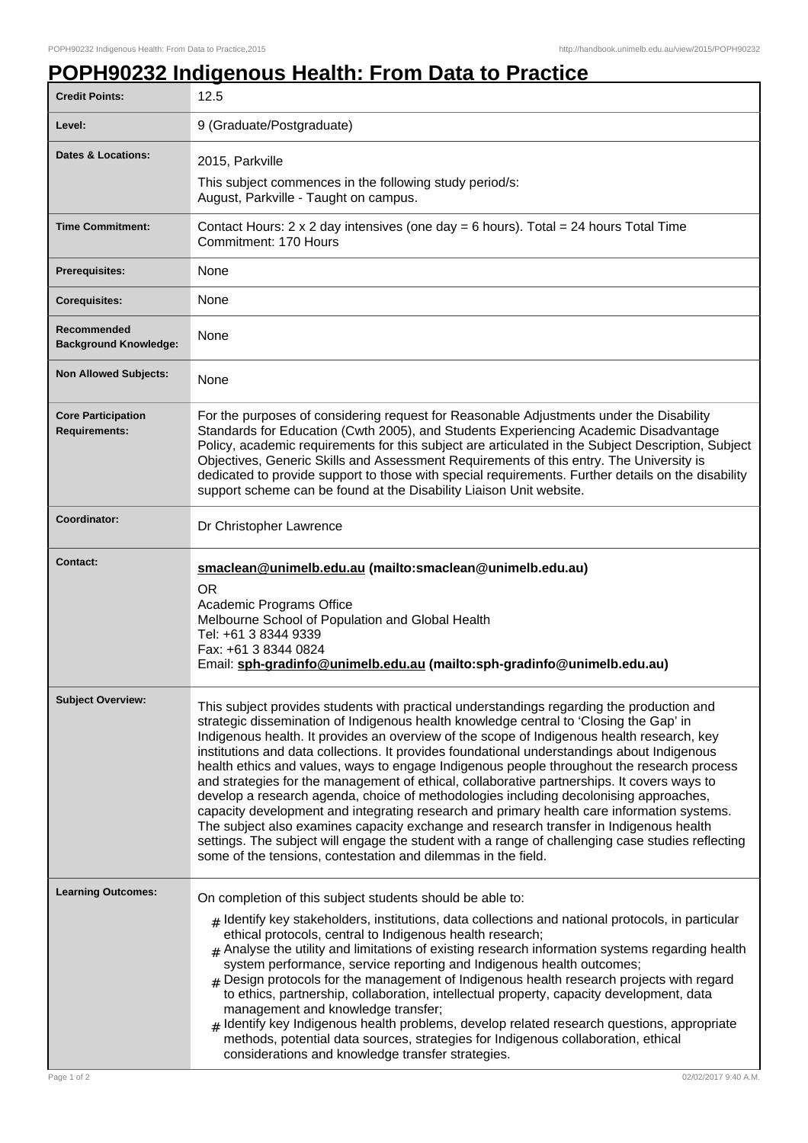## **POPH90232 Indigenous Health: From Data to Practice**

| <b>Credit Points:</b>                             | 12.5                                                                                                                                                                                                                                                                                                                                                                                                                                                                                                                                                                                                                                                                                                                                                                                                                                                                                                                                                                                                                                 |
|---------------------------------------------------|--------------------------------------------------------------------------------------------------------------------------------------------------------------------------------------------------------------------------------------------------------------------------------------------------------------------------------------------------------------------------------------------------------------------------------------------------------------------------------------------------------------------------------------------------------------------------------------------------------------------------------------------------------------------------------------------------------------------------------------------------------------------------------------------------------------------------------------------------------------------------------------------------------------------------------------------------------------------------------------------------------------------------------------|
| Level:                                            | 9 (Graduate/Postgraduate)                                                                                                                                                                                                                                                                                                                                                                                                                                                                                                                                                                                                                                                                                                                                                                                                                                                                                                                                                                                                            |
| Dates & Locations:                                | 2015, Parkville                                                                                                                                                                                                                                                                                                                                                                                                                                                                                                                                                                                                                                                                                                                                                                                                                                                                                                                                                                                                                      |
|                                                   | This subject commences in the following study period/s:<br>August, Parkville - Taught on campus.                                                                                                                                                                                                                                                                                                                                                                                                                                                                                                                                                                                                                                                                                                                                                                                                                                                                                                                                     |
| <b>Time Commitment:</b>                           | Contact Hours: $2 \times 2$ day intensives (one day = 6 hours). Total = $24$ hours Total Time<br>Commitment: 170 Hours                                                                                                                                                                                                                                                                                                                                                                                                                                                                                                                                                                                                                                                                                                                                                                                                                                                                                                               |
| Prerequisites:                                    | None                                                                                                                                                                                                                                                                                                                                                                                                                                                                                                                                                                                                                                                                                                                                                                                                                                                                                                                                                                                                                                 |
| <b>Corequisites:</b>                              | None                                                                                                                                                                                                                                                                                                                                                                                                                                                                                                                                                                                                                                                                                                                                                                                                                                                                                                                                                                                                                                 |
| Recommended<br><b>Background Knowledge:</b>       | None                                                                                                                                                                                                                                                                                                                                                                                                                                                                                                                                                                                                                                                                                                                                                                                                                                                                                                                                                                                                                                 |
| <b>Non Allowed Subjects:</b>                      | None                                                                                                                                                                                                                                                                                                                                                                                                                                                                                                                                                                                                                                                                                                                                                                                                                                                                                                                                                                                                                                 |
| <b>Core Participation</b><br><b>Requirements:</b> | For the purposes of considering request for Reasonable Adjustments under the Disability<br>Standards for Education (Cwth 2005), and Students Experiencing Academic Disadvantage<br>Policy, academic requirements for this subject are articulated in the Subject Description, Subject<br>Objectives, Generic Skills and Assessment Requirements of this entry. The University is<br>dedicated to provide support to those with special requirements. Further details on the disability<br>support scheme can be found at the Disability Liaison Unit website.                                                                                                                                                                                                                                                                                                                                                                                                                                                                        |
| Coordinator:                                      | Dr Christopher Lawrence                                                                                                                                                                                                                                                                                                                                                                                                                                                                                                                                                                                                                                                                                                                                                                                                                                                                                                                                                                                                              |
| <b>Contact:</b>                                   | smaclean@unimelb.edu.au (mailto:smaclean@unimelb.edu.au)<br><b>OR</b><br>Academic Programs Office<br>Melbourne School of Population and Global Health<br>Tel: +61 3 8344 9339<br>Fax: +61 3 8344 0824<br>Email: sph-gradinfo@unimelb.edu.au (mailto:sph-gradinfo@unimelb.edu.au)                                                                                                                                                                                                                                                                                                                                                                                                                                                                                                                                                                                                                                                                                                                                                     |
| <b>Subject Overview:</b>                          | This subject provides students with practical understandings regarding the production and<br>strategic dissemination of Indigenous health knowledge central to 'Closing the Gap' in<br>Indigenous health. It provides an overview of the scope of Indigenous health research, key<br>institutions and data collections. It provides foundational understandings about Indigenous<br>health ethics and values, ways to engage Indigenous people throughout the research process<br>and strategies for the management of ethical, collaborative partnerships. It covers ways to<br>develop a research agenda, choice of methodologies including decolonising approaches,<br>capacity development and integrating research and primary health care information systems.<br>The subject also examines capacity exchange and research transfer in Indigenous health<br>settings. The subject will engage the student with a range of challenging case studies reflecting<br>some of the tensions, contestation and dilemmas in the field. |
| <b>Learning Outcomes:</b>                         | On completion of this subject students should be able to:<br>$_{\#}$ Identify key stakeholders, institutions, data collections and national protocols, in particular<br>ethical protocols, central to Indigenous health research;<br>$#$ Analyse the utility and limitations of existing research information systems regarding health<br>system performance, service reporting and Indigenous health outcomes;<br>$_{\#}$ Design protocols for the management of Indigenous health research projects with regard<br>to ethics, partnership, collaboration, intellectual property, capacity development, data<br>management and knowledge transfer;<br>$#$ Identify key Indigenous health problems, develop related research questions, appropriate<br>methods, potential data sources, strategies for Indigenous collaboration, ethical<br>considerations and knowledge transfer strategies.                                                                                                                                        |